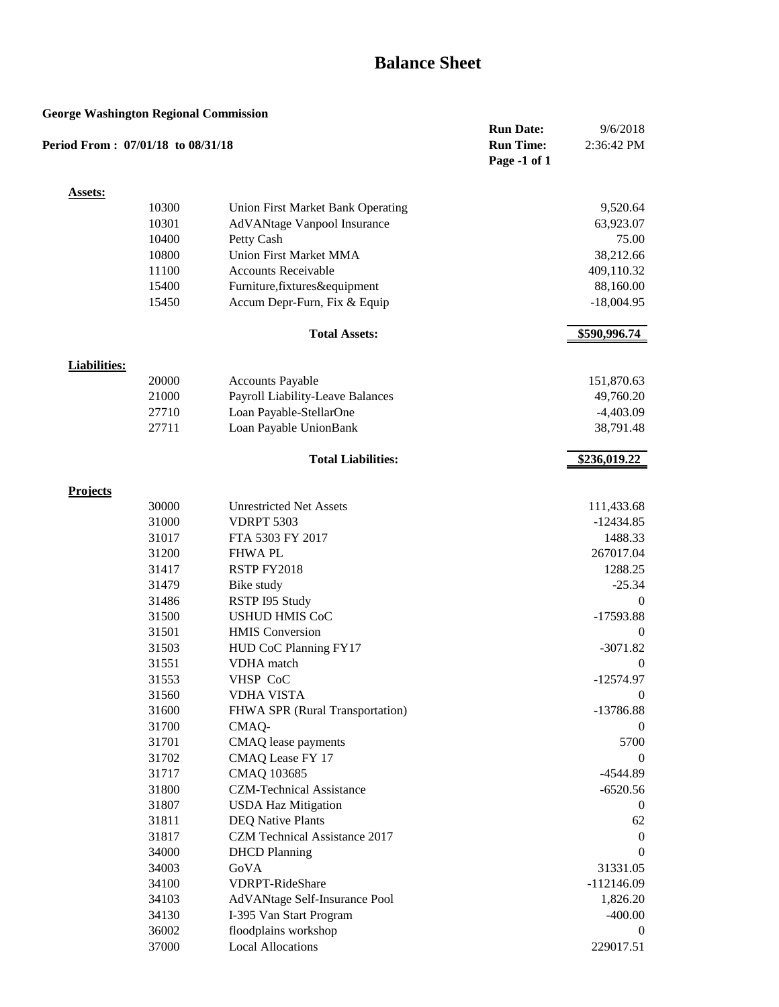# **Balance Sheet**

#### **George Washington Regional Commission**

| Otorge washington Kegionar Commission<br>Period From: 07/01/18 to 08/31/18 |       |                                          | <b>Run Date:</b><br><b>Run Time:</b><br>Page -1 of 1 | 9/6/2018<br>2:36:42 PM |
|----------------------------------------------------------------------------|-------|------------------------------------------|------------------------------------------------------|------------------------|
| <b>Assets:</b>                                                             |       |                                          |                                                      |                        |
|                                                                            | 10300 | <b>Union First Market Bank Operating</b> |                                                      | 9,520.64               |
|                                                                            | 10301 | AdVANtage Vanpool Insurance              |                                                      | 63,923.07              |
|                                                                            | 10400 | Petty Cash                               |                                                      | 75.00                  |
|                                                                            | 10800 | <b>Union First Market MMA</b>            |                                                      | 38,212.66              |
|                                                                            | 11100 | <b>Accounts Receivable</b>               |                                                      | 409,110.32             |
|                                                                            | 15400 | Furniture, fixtures&equipment            |                                                      | 88,160.00              |
|                                                                            | 15450 | Accum Depr-Furn, Fix & Equip             |                                                      | $-18,004.95$           |
|                                                                            |       | <b>Total Assets:</b>                     |                                                      | \$590,996.74           |
| <b>Liabilities:</b>                                                        |       |                                          |                                                      |                        |
|                                                                            | 20000 | <b>Accounts Payable</b>                  |                                                      | 151,870.63             |
|                                                                            | 21000 | Payroll Liability-Leave Balances         |                                                      | 49,760.20              |
|                                                                            | 27710 | Loan Payable-StellarOne                  |                                                      | $-4,403.09$            |
|                                                                            | 27711 | Loan Payable UnionBank                   |                                                      | 38,791.48              |
|                                                                            |       | <b>Total Liabilities:</b>                |                                                      | \$236,019.22           |
| <b>Projects</b>                                                            |       |                                          |                                                      |                        |
|                                                                            | 30000 | <b>Unrestricted Net Assets</b>           |                                                      | 111,433.68             |
|                                                                            | 31000 | <b>VDRPT 5303</b>                        |                                                      | $-12434.85$            |
|                                                                            | 31017 | FTA 5303 FY 2017                         |                                                      | 1488.33                |
|                                                                            | 31200 | <b>FHWAPL</b>                            |                                                      | 267017.04              |
|                                                                            | 31417 | RSTP FY2018                              |                                                      | 1288.25                |
|                                                                            | 31479 | Bike study                               |                                                      | $-25.34$               |
|                                                                            | 31486 | RSTP I95 Study                           |                                                      | $\theta$               |
|                                                                            | 31500 | <b>USHUD HMIS CoC</b>                    |                                                      | $-17593.88$            |
|                                                                            | 31501 | <b>HMIS</b> Conversion                   |                                                      | $\theta$               |
|                                                                            | 31503 | HUD CoC Planning FY17                    |                                                      | $-3071.82$             |
|                                                                            | 31551 | VDHA match                               |                                                      | $\theta$               |
|                                                                            | 31553 | VHSP CoC                                 |                                                      | $-12574.97$            |
|                                                                            | 31560 | <b>VDHA VISTA</b>                        |                                                      | $\boldsymbol{0}$       |
|                                                                            | 31600 | FHWA SPR (Rural Transportation)          |                                                      | $-13786.88$            |
|                                                                            | 31700 | CMAQ-                                    |                                                      | $\Omega$               |
|                                                                            | 31701 | CMAQ lease payments                      |                                                      | 5700                   |
|                                                                            | 31702 | CMAQ Lease FY 17                         |                                                      | $\theta$               |
|                                                                            | 31717 | CMAQ 103685                              |                                                      | $-4544.89$             |
|                                                                            | 31800 | <b>CZM-Technical Assistance</b>          |                                                      | $-6520.56$             |
|                                                                            | 31807 | <b>USDA Haz Mitigation</b>               |                                                      | $\theta$               |
|                                                                            | 31811 | <b>DEQ Native Plants</b>                 |                                                      | 62                     |
|                                                                            | 31817 | CZM Technical Assistance 2017            |                                                      | $\theta$               |
|                                                                            | 34000 | <b>DHCD</b> Planning                     |                                                      | $\theta$               |
|                                                                            | 34003 | GoVA                                     |                                                      | 31331.05               |
|                                                                            | 34100 | <b>VDRPT-RideShare</b>                   |                                                      | $-112146.09$           |
|                                                                            | 34103 | AdVANtage Self-Insurance Pool            |                                                      | 1,826.20               |
|                                                                            | 34130 | I-395 Van Start Program                  |                                                      | $-400.00$              |
|                                                                            | 36002 | floodplains workshop                     |                                                      | $\theta$               |
|                                                                            | 37000 | <b>Local Allocations</b>                 |                                                      | 229017.51              |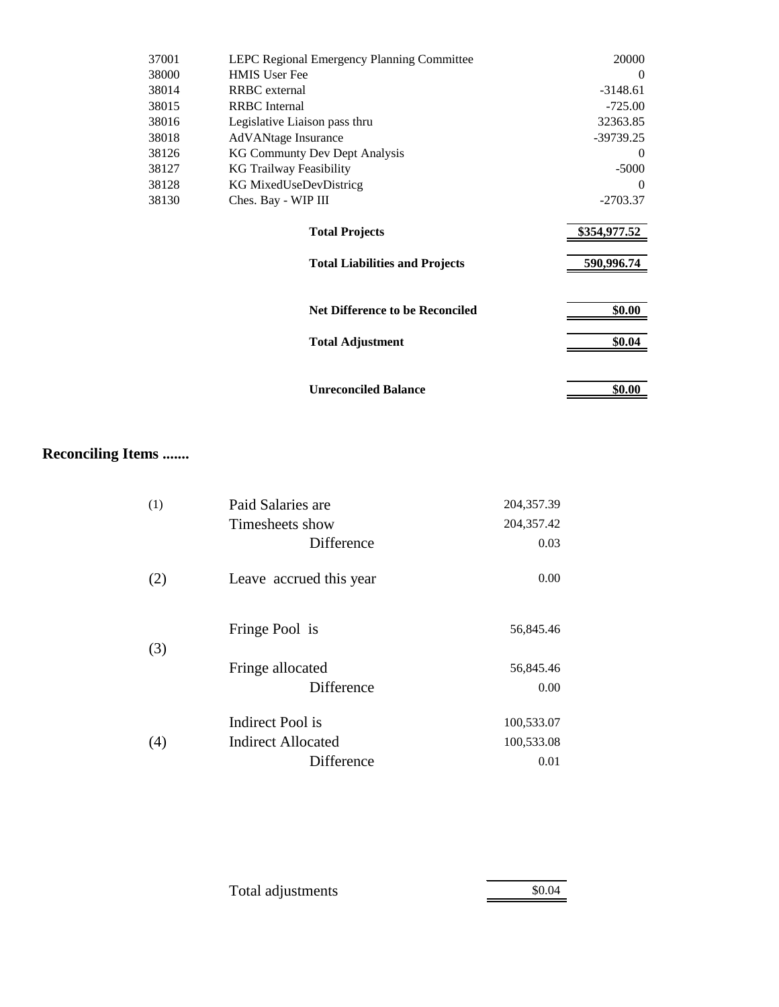| 37001 | LEPC Regional Emergency Planning Committee | 20000        |
|-------|--------------------------------------------|--------------|
| 38000 | <b>HMIS User Fee</b>                       | $\Omega$     |
| 38014 | <b>RRBC</b> external                       | $-3148.61$   |
| 38015 | <b>RRBC</b> Internal                       | $-725.00$    |
| 38016 | Legislative Liaison pass thru              | 32363.85     |
| 38018 | <b>AdVANtage Insurance</b>                 | $-39739.25$  |
| 38126 | <b>KG Communty Dev Dept Analysis</b>       | $\Omega$     |
| 38127 | KG Trailway Feasibility                    | $-5000$      |
| 38128 | KG MixedUseDevDistricg                     | 0            |
| 38130 | Ches. Bay - WIP III                        | $-2703.37$   |
|       | <b>Total Projects</b>                      | \$354,977.52 |
|       | <b>Total Liabilities and Projects</b>      | 590,996.74   |
|       | <b>Net Difference to be Reconciled</b>     | \$0.00       |
|       | <b>Total Adjustment</b>                    | \$0.04       |
|       | <b>Unreconciled Balance</b>                | \$0.00       |

## **Reconciling Items .......**

| (1) | Paid Salaries are       | 204,357.39 |
|-----|-------------------------|------------|
|     | Timesheets show         | 204,357.42 |
|     | Difference              | 0.03       |
| (2) | Leave accrued this year | 0.00       |
| (3) | Fringe Pool is          | 56,845.46  |
|     | Fringe allocated        | 56,845.46  |
|     | Difference              | 0.00       |
|     | Indirect Pool is        | 100,533.07 |
| (4) | Indirect Allocated      | 100,533.08 |
|     | Difference              | 0.01       |

| Total adjustments | \$0.04 |
|-------------------|--------|
|                   |        |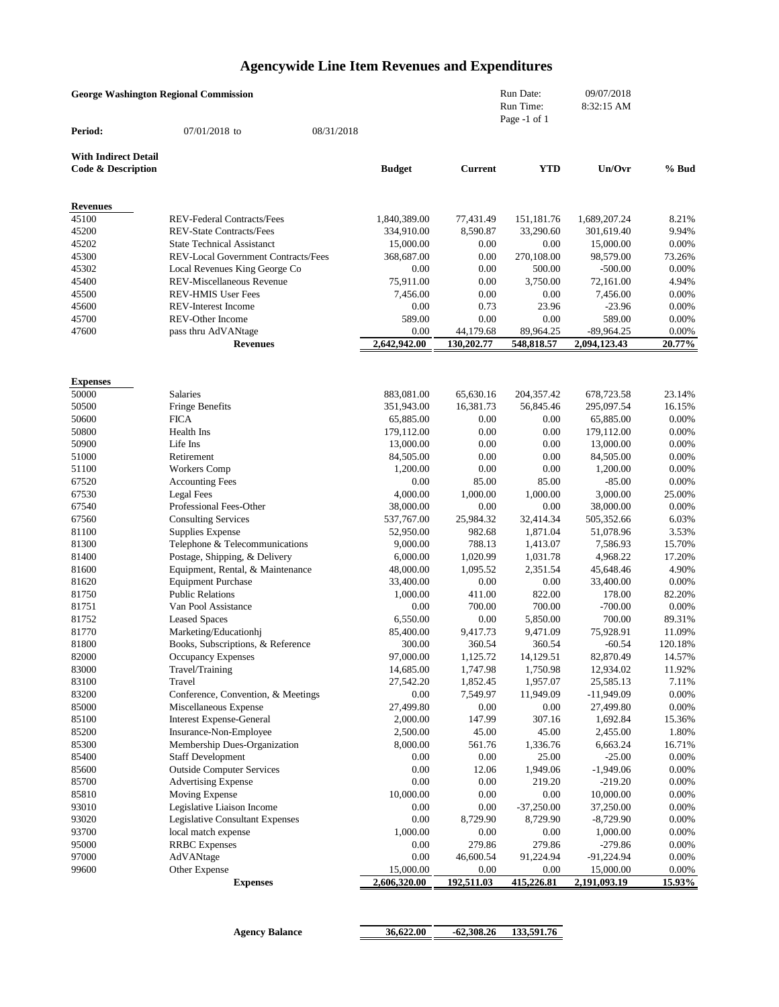# **Agencywide Line Item Revenues and Expenditures**

| <b>George Washington Regional Commission</b> |                                                                   |            |                          |                        | Run Date:                 | 09/07/2018               |                  |
|----------------------------------------------|-------------------------------------------------------------------|------------|--------------------------|------------------------|---------------------------|--------------------------|------------------|
|                                              |                                                                   |            |                          |                        | Run Time:<br>Page -1 of 1 | 8:32:15 AM               |                  |
| Period:                                      | 07/01/2018 to                                                     | 08/31/2018 |                          |                        |                           |                          |                  |
| <b>With Indirect Detail</b>                  |                                                                   |            |                          |                        |                           |                          |                  |
| <b>Code &amp; Description</b>                |                                                                   |            | <b>Budget</b>            | <b>Current</b>         | <b>YTD</b>                | Un/Ovr                   | % Bud            |
| <b>Revenues</b>                              |                                                                   |            |                          |                        |                           |                          |                  |
| 45100                                        | <b>REV-Federal Contracts/Fees</b>                                 |            | 1,840,389.00             | 77,431.49              | 151,181.76                | 1,689,207.24             | 8.21%            |
| 45200                                        | <b>REV-State Contracts/Fees</b>                                   |            | 334,910.00               | 8,590.87               | 33,290.60                 | 301,619.40               | 9.94%            |
| 45202                                        | <b>State Technical Assistanct</b>                                 |            | 15,000.00                | 0.00                   | 0.00                      | 15,000.00                | 0.00%            |
| 45300                                        | REV-Local Government Contracts/Fees                               |            | 368,687.00               | 0.00                   | 270,108.00                | 98,579.00                | 73.26%           |
| 45302                                        | Local Revenues King George Co                                     |            | 0.00                     | 0.00                   | 500.00                    | $-500.00$                | 0.00%            |
| 45400<br>45500                               | REV-Miscellaneous Revenue<br><b>REV-HMIS User Fees</b>            |            | 75,911.00<br>7,456.00    | 0.00<br>0.00           | 3,750.00<br>0.00          | 72,161.00<br>7,456.00    | 4.94%<br>0.00%   |
| 45600                                        | <b>REV-Interest Income</b>                                        |            | 0.00                     | 0.73                   | 23.96                     | $-23.96$                 | 0.00%            |
| 45700                                        | <b>REV-Other Income</b>                                           |            | 589.00                   | 0.00                   | 0.00                      | 589.00                   | 0.00%            |
| 47600                                        | pass thru AdVANtage                                               |            | 0.00                     | 44,179.68              | 89,964.25                 | $-89,964.25$             | 0.00%            |
|                                              | <b>Revenues</b>                                                   |            | 2,642,942.00             | 130,202.77             | 548,818.57                | 2,094,123.43             | 20.77%           |
|                                              |                                                                   |            |                          |                        |                           |                          |                  |
| <b>Expenses</b>                              |                                                                   |            |                          |                        |                           |                          |                  |
| 50000<br>50500                               | Salaries<br><b>Fringe Benefits</b>                                |            | 883,081.00<br>351,943.00 | 65,630.16<br>16,381.73 | 204,357.42<br>56,845.46   | 678,723.58<br>295,097.54 | 23.14%<br>16.15% |
| 50600                                        | <b>FICA</b>                                                       |            | 65,885.00                | 0.00                   | 0.00                      | 65,885.00                | 0.00%            |
| 50800                                        | Health Ins                                                        |            | 179,112.00               | 0.00                   | 0.00                      | 179,112.00               | 0.00%            |
| 50900                                        | Life Ins                                                          |            | 13,000.00                | 0.00                   | 0.00                      | 13,000.00                | 0.00%            |
| 51000                                        | Retirement                                                        |            | 84,505.00                | 0.00                   | 0.00                      | 84,505.00                | 0.00%            |
| 51100                                        | Workers Comp                                                      |            | 1,200.00                 | 0.00                   | 0.00                      | 1,200.00                 | 0.00%            |
| 67520                                        | <b>Accounting Fees</b>                                            |            | 0.00                     | 85.00                  | 85.00                     | $-85.00$                 | 0.00%            |
| 67530                                        | <b>Legal Fees</b>                                                 |            | 4,000.00                 | 1,000.00               | 1,000.00                  | 3,000.00                 | 25.00%           |
| 67540                                        | Professional Fees-Other                                           |            | 38,000.00                | 0.00                   | 0.00                      | 38,000.00                | 0.00%            |
| 67560                                        | <b>Consulting Services</b>                                        |            | 537,767.00               | 25,984.32              | 32,414.34                 | 505,352.66               | 6.03%            |
| 81100                                        | Supplies Expense                                                  |            | 52,950.00                | 982.68                 | 1,871.04                  | 51,078.96                | 3.53%            |
| 81300                                        | Telephone & Telecommunications                                    |            | 9,000.00                 | 788.13                 | 1,413.07                  | 7,586.93                 | 15.70%           |
| 81400<br>81600                               | Postage, Shipping, & Delivery<br>Equipment, Rental, & Maintenance |            | 6,000.00<br>48,000.00    | 1,020.99<br>1,095.52   | 1,031.78<br>2,351.54      | 4,968.22<br>45,648.46    | 17.20%<br>4.90%  |
| 81620                                        | <b>Equipment Purchase</b>                                         |            | 33,400.00                | 0.00                   | 0.00                      | 33,400.00                | 0.00%            |
| 81750                                        | <b>Public Relations</b>                                           |            | 1,000.00                 | 411.00                 | 822.00                    | 178.00                   | 82.20%           |
| 81751                                        | Van Pool Assistance                                               |            | 0.00                     | 700.00                 | 700.00                    | $-700.00$                | 0.00%            |
| 81752                                        | <b>Leased Spaces</b>                                              |            | 6,550.00                 | 0.00                   | 5,850.00                  | 700.00                   | 89.31%           |
| 81770                                        | Marketing/Educationhj                                             |            | 85,400.00                | 9,417.73               | 9,471.09                  | 75,928.91                | 11.09%           |
| 81800                                        | Books, Subscriptions, & Reference                                 |            | 300.00                   | 360.54                 | 360.54                    | $-60.54$                 | 120.18%          |
| 82000                                        | Occupancy Expenses                                                |            | 97,000.00                | 1,125.72               | 14,129.51                 | 82,870.49                | 14.57%           |
| 83000                                        | Travel/Training                                                   |            | 14,685.00                | 1,747.98               | 1,750.98                  | 12,934.02                | 11.92%           |
| 83100                                        | Travel                                                            |            | 27,542.20                | 1,852.45               | 1,957.07                  | 25,585.13                | 7.11%            |
| 83200                                        | Conference, Convention, & Meetings                                |            | 0.00                     | 7,549.97               | 11,949.09                 | $-11,949.09$             | 0.00%            |
| 85000<br>85100                               | Miscellaneous Expense<br><b>Interest Expense-General</b>          |            | 27,499.80<br>2,000.00    | 0.00<br>147.99         | 0.00<br>307.16            | 27,499.80<br>1,692.84    | 0.00%<br>15.36%  |
| 85200                                        | Insurance-Non-Employee                                            |            | 2,500.00                 | 45.00                  | 45.00                     | 2,455.00                 | 1.80%            |
| 85300                                        | Membership Dues-Organization                                      |            | 8,000.00                 | 561.76                 | 1,336.76                  | 6,663.24                 | 16.71%           |
| 85400                                        | <b>Staff Development</b>                                          |            | 0.00                     | 0.00                   | 25.00                     | $-25.00$                 | 0.00%            |
| 85600                                        | <b>Outside Computer Services</b>                                  |            | 0.00                     | 12.06                  | 1,949.06                  | $-1,949.06$              | 0.00%            |
| 85700                                        | <b>Advertising Expense</b>                                        |            | 0.00                     | 0.00                   | 219.20                    | $-219.20$                | 0.00%            |
| 85810                                        | Moving Expense                                                    |            | 10,000.00                | 0.00                   | 0.00                      | 10,000.00                | 0.00%            |
| 93010                                        | Legislative Liaison Income                                        |            | 0.00                     | 0.00                   | $-37,250.00$              | 37,250.00                | 0.00%            |
| 93020                                        | <b>Legislative Consultant Expenses</b>                            |            | 0.00                     | 8,729.90               | 8,729.90                  | $-8,729.90$              | 0.00%            |
| 93700                                        | local match expense                                               |            | 1,000.00                 | 0.00                   | 0.00                      | 1,000.00                 | 0.00%            |
| 95000                                        | <b>RRBC</b> Expenses                                              |            | 0.00                     | 279.86                 | 279.86                    | $-279.86$                | 0.00%            |
| 97000                                        | AdVANtage                                                         |            | 0.00                     | 46,600.54              | 91,224.94                 | $-91,224.94$             | 0.00%            |
| 99600                                        | Other Expense                                                     |            | 15,000.00                | 0.00<br>192,511.03     | 0.00                      | 15,000.00                | 0.00%            |
|                                              | <b>Expenses</b>                                                   |            | 2,606,320.00             |                        | 415,226.81                | 2,191,093.19             | 15.93%           |